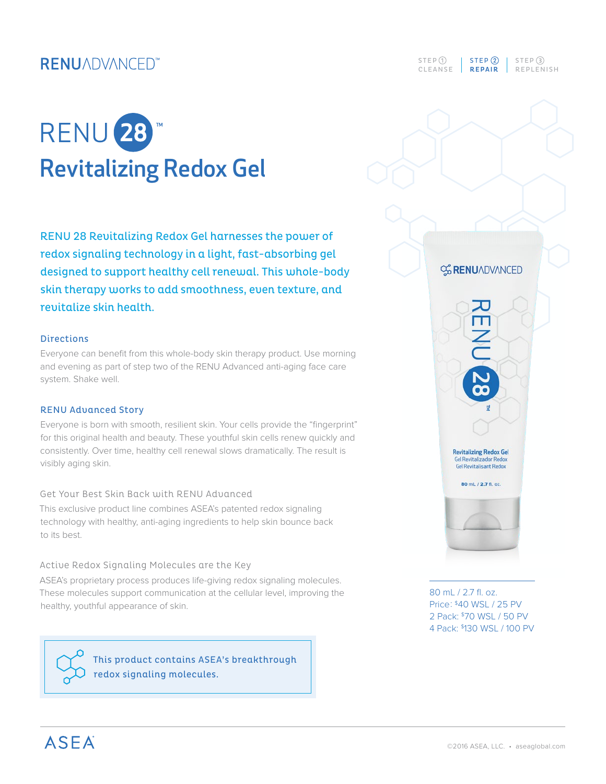## **RENUADVANCED**<sup>\*\*</sup>



RENU 28 Revitalizing Redox Gel harnesses the power of redox signaling technology in a light, fast-absorbing gel designed to support healthy cell renewal. This whole-body skin therapy works to add smoothness, even texture, and revitalize skin health.

#### Directions

Everyone can benefit from this whole-body skin therapy product. Use morning and evening as part of step two of the RENU Advanced anti-aging face care system. Shake well.

#### RENU Advanced Story

Everyone is born with smooth, resilient skin. Your cells provide the "fingerprint" for this original health and beauty. These youthful skin cells renew quickly and consistently. Over time, healthy cell renewal slows dramatically. The result is visibly aging skin.

#### Get Your Best Skin Back with RENU Advanced

This exclusive product line combines ASEA's patented redox signaling technology with healthy, anti-aging ingredients to help skin bounce back to its best.

#### Active Redox Signaling Molecules are the Key

ASEA's proprietary process produces life-giving redox signaling molecules. These molecules support communication at the cellular level, improving the healthy, youthful appearance of skin.



This product contains ASEA's breakthrough redox signaling molecules.



**CG RENUADVANCED** 

Ш

**Revitalizing Redox Gel Gel Revitalizador Redox**<br>**Gel Revitalisant Redox** 



80 mL / 2.7 fl. oz. Price: \$40 WSL / 25 PV 2 Pack: \$70 WSL / 50 PV 4 Pack: \$130 WSL / 100 PV